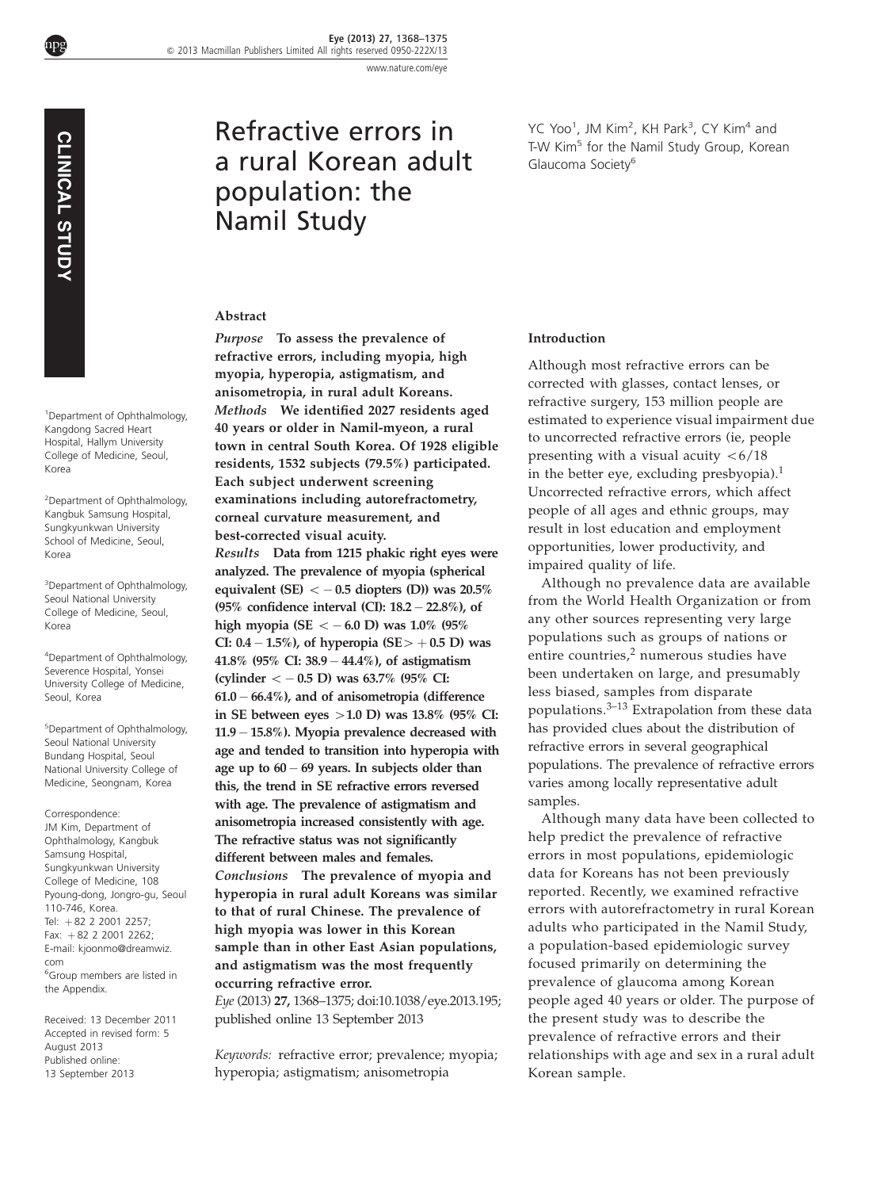[www.nature.com/eye](http://www.nature.com/eye)

npg

# Refractive errors in a rural Korean adult population: the Namil Study

YC Yoo<sup>1</sup>, JM Kim<sup>2</sup>, KH Park<sup>3</sup>, CY Kim<sup>4</sup> and T-W Kim<sup>5</sup> for the Namil Study Group, Korean Glaucoma Society<sup>6</sup>

#### Abstract

refractive errors, including myopia, high myopia, hyperopia, astigmatism, and anisometropia, in rural adult Koreans. Methods We identified 2027 residents aged 40 years or older in Namil-myeon, a rural town in central South Korea. Of 1928 eligible residents, 1532 subjects (79.5%) participated. Each subject underwent screening examinations including autorefractometry, corneal curvature measurement, and best-corrected visual acuity.

Purpose To assess the prevalence of

Results Data from 1215 phakic right eyes were analyzed. The prevalence of myopia (spherical equivalent (SE)  $<-0.5$  diopters (D)) was 20.5% (95% confidence interval (CI):  $18.2 - 22.8%$ ), of high myopia (SE  $<-$  6.0 D) was 1.0% (95% CI: 0.4 – 1.5%), of hyperopia  $(SE > +0.5 \text{ D})$  was 41.8% (95% CI: 38.9- 44.4%), of astigmatism (cylinder  $<-0.5$  D) was 63.7% (95% CI: 61.0- 66.4%), and of anisometropia (difference in SE between eyes  $>1.0$  D) was 13.8% (95% CI: 11.9 – 15.8%). Myopia prevalence decreased with age and tended to transition into hyperopia with age up to 60- 69 years. In subjects older than this, the trend in SE refractive errors reversed with age. The prevalence of astigmatism and anisometropia increased consistently with age. The refractive status was not significantly different between males and females. Conclusions The prevalence of myopia and hyperopia in rural adult Koreans was similar to that of rural Chinese. The prevalence of high myopia was lower in this Korean sample than in other East Asian populations, and astigmatism was the most frequently occurring refractive error. Eye (2013) 27, 1368–1375; doi[:10.1038/eye.2013.195;](http://dx.doi.org/10.1038/eye.2013.195)

published online 13 September 2013

Keywords: refractive error; prevalence; myopia; hyperopia; astigmatism; anisometropia

#### Introduction

Although most refractive errors can be corrected with glasses, contact lenses, or refractive surgery, 153 million people are estimated to experience visual impairment due to uncorrected refractive errors (ie, people presenting with a visual acuity  $\langle 6/18 \rangle$ in the better eye, excluding presbyopia).[1](#page-6-0) Uncorrected refractive errors, which affect people of all ages and ethnic groups, may result in lost education and employment opportunities, lower productivity, and impaired quality of life.

Although no prevalence data are available from the World Health Organization or from any other sources representing very large populations such as groups of nations or entire countries,<sup>[2](#page-6-0)</sup> numerous studies have been undertaken on large, and presumably less biased, samples from disparate populations. $3-13$  Extrapolation from these data has provided clues about the distribution of refractive errors in several geographical populations. The prevalence of refractive errors varies among locally representative adult samples.

Although many data have been collected to help predict the prevalence of refractive errors in most populations, epidemiologic data for Koreans has not been previously reported. Recently, we examined refractive errors with autorefractometry in rural Korean adults who participated in the Namil Study, a population-based epidemiologic survey focused primarily on determining the prevalence of glaucoma among Korean people aged 40 years or older. The purpose of the present study was to describe the prevalence of refractive errors and their relationships with age and sex in a rural adult Korean sample.

1 Department of Ophthalmology, Kangdong Sacred Heart Hospital, Hallym University College of Medicine, Seoul, Korea

2 Department of Ophthalmology, Kangbuk Samsung Hospital, Sungkyunkwan University School of Medicine, Seoul, Korea

<sup>3</sup>Department of Ophthalmology, Seoul National University College of Medicine, Seoul, Korea

4 Department of Ophthalmology, Severence Hospital, Yonsei University College of Medicine, Seoul, Korea

5 Department of Ophthalmology, Seoul National University Bundang Hospital, Seoul National University College of Medicine, Seongnam, Korea

Correspondence: JM Kim, Department of Ophthalmology, Kangbuk Samsung Hospital, Sungkyunkwan University College of Medicine, 108 Pyoung-dong, Jongro-gu, Seoul 110-746, Korea. Tel: +82 2 2001 2257; Fax:  $+82$  2 2001 2262; E-mail: [kjoonmo@dreamwiz.](mailto:kjoonmo@dreamwiz.com) [com](mailto:kjoonmo@dreamwiz.com) 6 Group members are listed in the Appendix. 13 September 2013 CLINICAL STUDY

Received: 13 December 2011 Accepted in revised form: 5 August 2013 Published online: 13 September 2013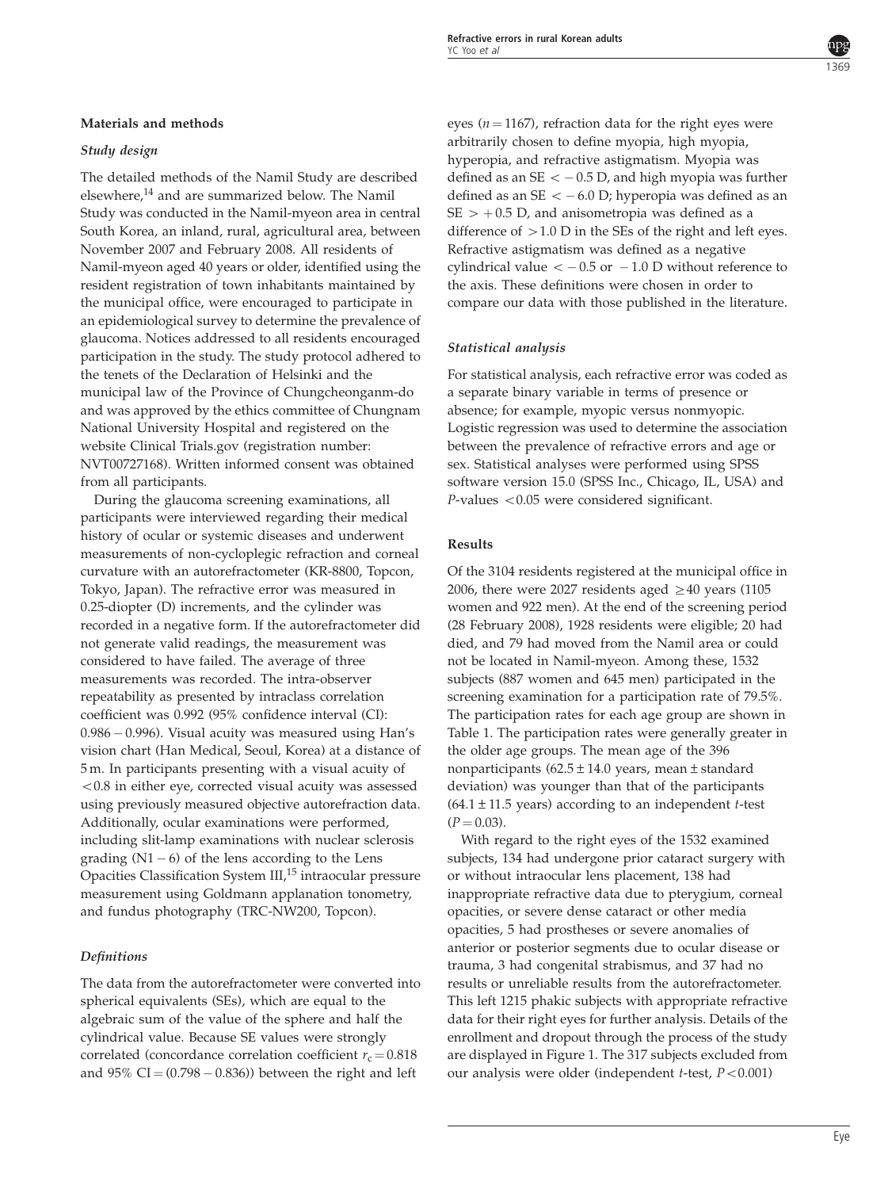# Materials and methods

# Study design

The detailed methods of the Namil Study are described elsewhere,[14](#page-7-0) and are summarized below. The Namil Study was conducted in the Namil-myeon area in central South Korea, an inland, rural, agricultural area, between November 2007 and February 2008. All residents of Namil-myeon aged 40 years or older, identified using the resident registration of town inhabitants maintained by the municipal office, were encouraged to participate in an epidemiological survey to determine the prevalence of glaucoma. Notices addressed to all residents encouraged participation in the study. The study protocol adhered to the tenets of the Declaration of Helsinki and the municipal law of the Province of Chungcheonganm-do and was approved by the ethics committee of Chungnam National University Hospital and registered on the website Clinical Trials.gov (registration number: NVT00727168). Written informed consent was obtained from all participants.

During the glaucoma screening examinations, all participants were interviewed regarding their medical history of ocular or systemic diseases and underwent measurements of non-cycloplegic refraction and corneal curvature with an autorefractometer (KR-8800, Topcon, Tokyo, Japan). The refractive error was measured in 0.25-diopter (D) increments, and the cylinder was recorded in a negative form. If the autorefractometer did not generate valid readings, the measurement was considered to have failed. The average of three measurements was recorded. The intra-observer repeatability as presented by intraclass correlation coefficient was 0.992 (95% confidence interval (CI): 0.986 - 0.996). Visual acuity was measured using Han's vision chart (Han Medical, Seoul, Korea) at a distance of 5 m. In participants presenting with a visual acuity of  $<$  0.8 in either eye, corrected visual acuity was assessed using previously measured objective autorefraction data. Additionally, ocular examinations were performed, including slit-lamp examinations with nuclear sclerosis grading  $(N1 - 6)$  of the lens according to the Lens Opacities Classification System III,<sup>[15](#page-7-0)</sup> intraocular pressure measurement using Goldmann applanation tonometry, and fundus photography (TRC-NW200, Topcon).

## **Definitions**

The data from the autorefractometer were converted into spherical equivalents (SEs), which are equal to the algebraic sum of the value of the sphere and half the cylindrical value. Because SE values were strongly correlated (concordance correlation coefficient  $r_c = 0.818$ and 95% CI $=(0.798-0.836)$ ) between the right and left

eyes ( $n = 1167$ ), refraction data for the right eyes were arbitrarily chosen to define myopia, high myopia, hyperopia, and refractive astigmatism. Myopia was defined as an SE  $<-0.5$  D, and high myopia was further defined as an SE  $<-6.0$  D; hyperopia was defined as an  $SE$   $> +0.5$  D, and anisometropia was defined as a difference of  $>1.0$  D in the SEs of the right and left eyes. Refractive astigmatism was defined as a negative cylindrical value  $\langle -0.5 \text{ or } -1.0 \text{ D} \text{ without reference to}$ the axis. These definitions were chosen in order to compare our data with those published in the literature.

# Statistical analysis

For statistical analysis, each refractive error was coded as a separate binary variable in terms of presence or absence; for example, myopic versus nonmyopic. Logistic regression was used to determine the association between the prevalence of refractive errors and age or sex. Statistical analyses were performed using SPSS software version 15.0 (SPSS Inc., Chicago, IL, USA) and  $P$ -values  $< 0.05$  were considered significant.

## Results

Of the 3104 residents registered at the municipal office in 2006, there were 2027 residents aged  $\geq$  40 years (1105 women and 922 men). At the end of the screening period (28 February 2008), 1928 residents were eligible; 20 had died, and 79 had moved from the Namil area or could not be located in Namil-myeon. Among these, 1532 subjects (887 women and 645 men) participated in the screening examination for a participation rate of 79.5%. The participation rates for each age group are shown in [Table 1](#page-2-0). The participation rates were generally greater in the older age groups. The mean age of the 396 nonparticipants ( $62.5 \pm 14.0$  years, mean  $\pm$  standard deviation) was younger than that of the participants  $(64.1 \pm 11.5 \text{ years})$  according to an independent *t*-test  $(P = 0.03)$ .

With regard to the right eyes of the 1532 examined subjects, 134 had undergone prior cataract surgery with or without intraocular lens placement, 138 had inappropriate refractive data due to pterygium, corneal opacities, or severe dense cataract or other media opacities, 5 had prostheses or severe anomalies of anterior or posterior segments due to ocular disease or trauma, 3 had congenital strabismus, and 37 had no results or unreliable results from the autorefractometer. This left 1215 phakic subjects with appropriate refractive data for their right eyes for further analysis. Details of the enrollment and dropout through the process of the study are displayed in [Figure 1](#page-2-0). The 317 subjects excluded from our analysis were older (independent  $t$ -test,  $P < 0.001$ )

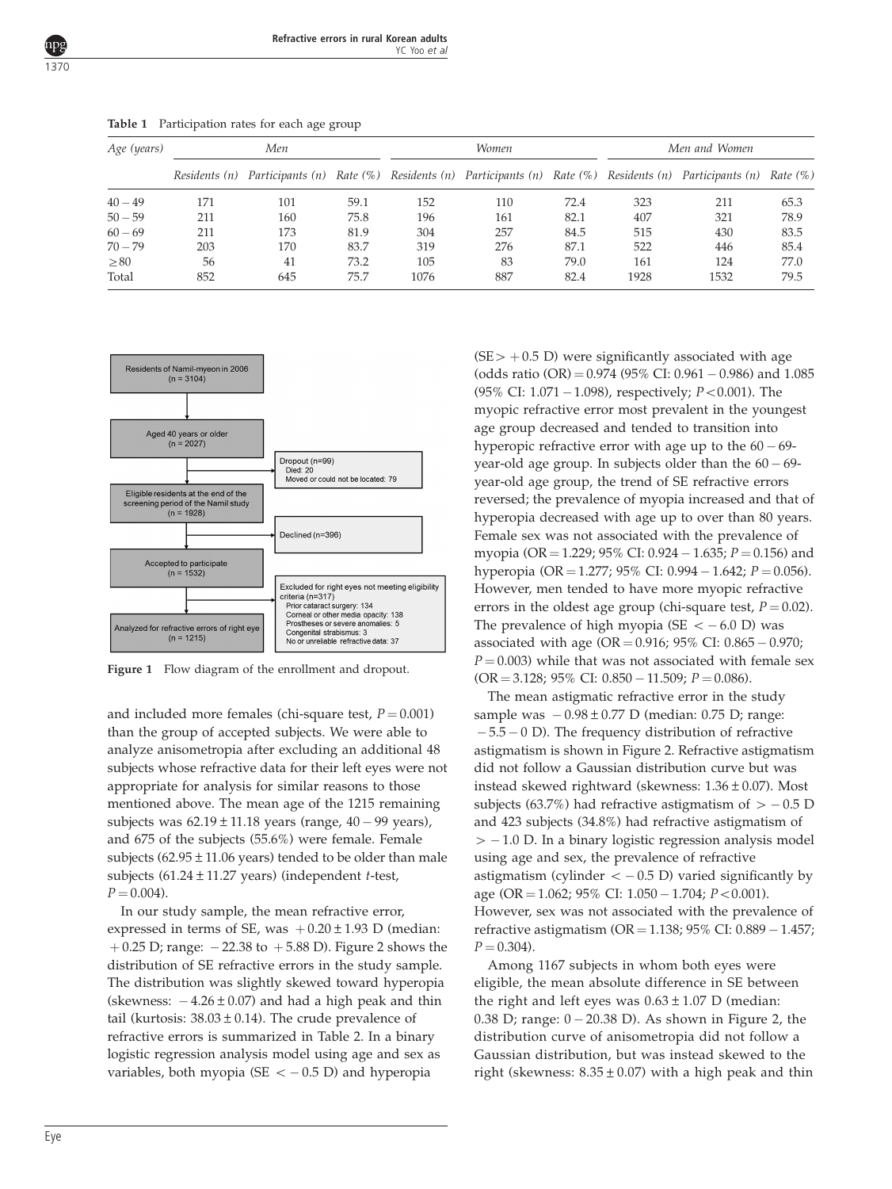<span id="page-2-0"></span>

| Age (years) | Men           |                                                                                                  |      |      | <b>Women</b> |      | Men and Women |      |              |
|-------------|---------------|--------------------------------------------------------------------------------------------------|------|------|--------------|------|---------------|------|--------------|
|             | Residents (n) | Participants (n) Rate (%) Residents (n) Participants (n) Rate (%) Residents (n) Participants (n) |      |      |              |      |               |      | Rate $(\% )$ |
| $40 - 49$   | 171           | 101                                                                                              | 59.1 | 152  | 110          | 72.4 | 323           | 211  | 65.3         |
| $50 - 59$   | 211           | 160                                                                                              | 75.8 | 196  | 161          | 82.1 | 407           | 321  | 78.9         |
| $60 - 69$   | 211           | 173                                                                                              | 81.9 | 304  | 257          | 84.5 | 515           | 430  | 83.5         |
| $70 - 79$   | 203           | 170                                                                                              | 83.7 | 319  | 276          | 87.1 | 522           | 446  | 85.4         |
| $\geq 80$   | 56            | 41                                                                                               | 73.2 | 105  | 83           | 79.0 | 161           | 124  | 77.0         |
| Total       | 852           | 645                                                                                              | 75.7 | 1076 | 887          | 82.4 | 1928          | 1532 | 79.5         |

Table 1 Participation rates for each age group



Figure 1 Flow diagram of the enrollment and dropout.

and included more females (chi-square test,  $P = 0.001$ ) than the group of accepted subjects. We were able to analyze anisometropia after excluding an additional 48 subjects whose refractive data for their left eyes were not appropriate for analysis for similar reasons to those mentioned above. The mean age of the 1215 remaining subjects was  $62.19 \pm 11.18$  years (range,  $40 - 99$  years), and 675 of the subjects (55.6%) were female. Female subjects (62.95 $\pm$ 11.06 years) tended to be older than male subjects  $(61.24 \pm 11.27 \text{ years})$  (independent *t*-test,  $P = 0.004$ .

In our study sample, the mean refractive error, expressed in terms of SE, was  $+0.20 \pm 1.93$  D (median:  $+$  0.25 D; range:  $-$  22.38 to  $+$  5.88 D). [Figure 2](#page-3-0) shows the distribution of SE refractive errors in the study sample. The distribution was slightly skewed toward hyperopia (skewness:  $-4.26 \pm 0.07$ ) and had a high peak and thin tail (kurtosis:  $38.03 \pm 0.14$ ). The crude prevalence of refractive errors is summarized in [Table 2.](#page-3-0) In a binary logistic regression analysis model using age and sex as variables, both myopia (SE  $<-0.5$  D) and hyperopia

 $(SE > +0.5 \text{ D})$  were significantly associated with age (odds ratio  $\text{(OR)} = 0.974$  (95% CI: 0.961 – 0.986) and 1.085  $(95\% \text{ CI: } 1.071 - 1.098)$ , respectively;  $P < 0.001$ ). The myopic refractive error most prevalent in the youngest age group decreased and tended to transition into hyperopic refractive error with age up to the  $60 - 69$ year-old age group. In subjects older than the  $60 - 69$ year-old age group, the trend of SE refractive errors reversed; the prevalence of myopia increased and that of hyperopia decreased with age up to over than 80 years. Female sex was not associated with the prevalence of myopia (OR = 1.229; 95% CI: 0.924 – 1.635; P = 0.156) and hyperopia (OR = 1.277; 95% CI: 0.994 – 1.642; *P* = 0.056). However, men tended to have more myopic refractive errors in the oldest age group (chi-square test,  $P = 0.02$ ). The prevalence of high myopia (SE  $<-6.0$  D) was associated with age (OR =  $0.916$ ;  $95\%$  CI:  $0.865 - 0.970$ ;  $P = 0.003$ ) while that was not associated with female sex  $(OR = 3.128; 95\% \text{ CI: } 0.850 - 11.509; P = 0.086).$ 

The mean astigmatic refractive error in the study sample was  $-0.98 \pm 0.77$  D (median: 0.75 D; range:  $-5.5 - 0$  D). The frequency distribution of refractive astigmatism is shown in [Figure 2](#page-3-0). Refractive astigmatism did not follow a Gaussian distribution curve but was instead skewed rightward (skewness: 1.36±0.07). Most subjects (63.7%) had refractive astigmatism of  $> -0.5$  D and 423 subjects (34.8%) had refractive astigmatism of  $> -1.0$  D. In a binary logistic regression analysis model using age and sex, the prevalence of refractive astigmatism (cylinder  $<-0.5$  D) varied significantly by age (OR = 1.062; 95% CI: 1.050 – 1.704; P < 0.001). However, sex was not associated with the prevalence of refractive astigmatism (OR = 1.138; 95% CI: 0.889 – 1.457;  $P = 0.304$ .

Among 1167 subjects in whom both eyes were eligible, the mean absolute difference in SE between the right and left eyes was  $0.63 \pm 1.07$  D (median: 0.38 D; range: 0 - 20.38 D). As shown in [Figure 2](#page-3-0), the distribution curve of anisometropia did not follow a Gaussian distribution, but was instead skewed to the right (skewness:  $8.35 \pm 0.07$ ) with a high peak and thin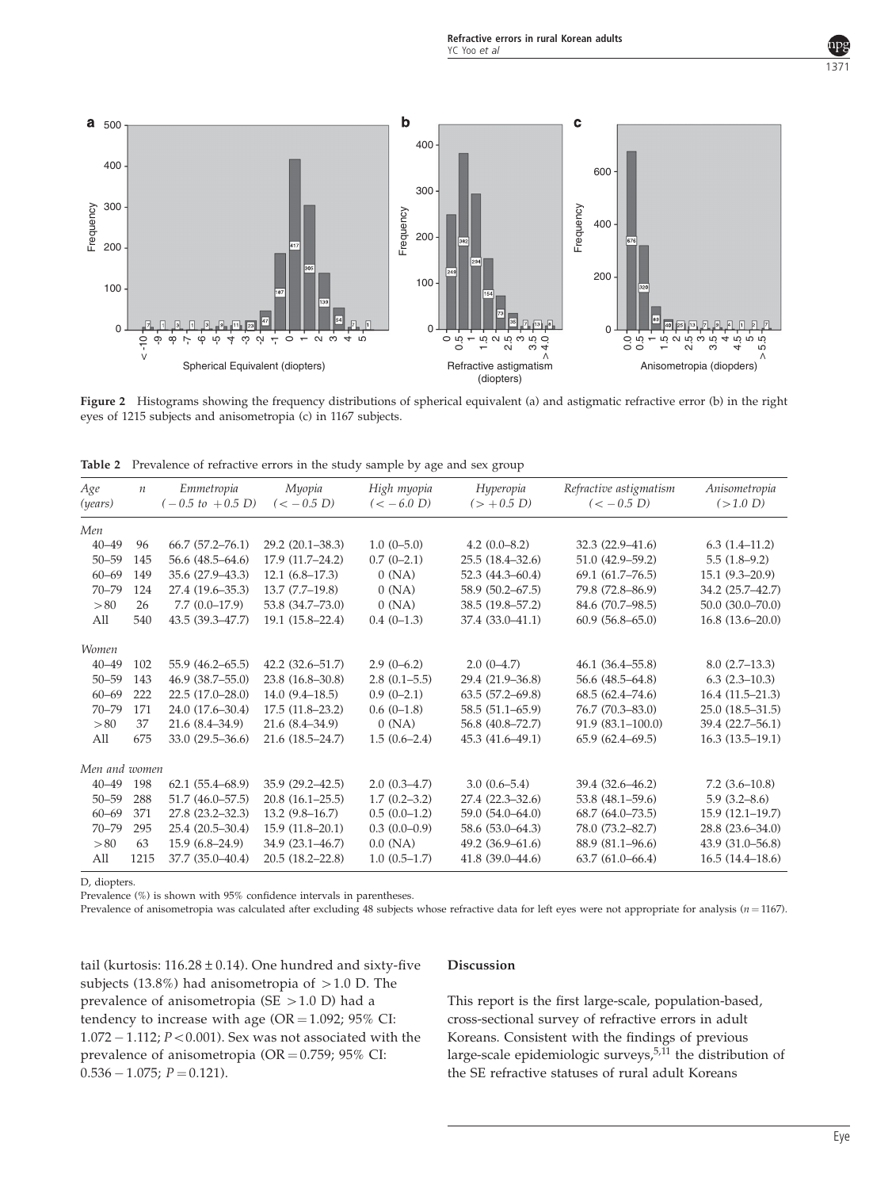<span id="page-3-0"></span>

Figure 2 Histograms showing the frequency distributions of spherical equivalent (a) and astigmatic refractive error (b) in the right eyes of 1215 subjects and anisometropia (c) in 1167 subjects.

| Age<br>(years) | $\mathfrak n$ | Emmetropia<br>$(-0.5~to~+0.5~D)$ | Myopia<br>$(< -0.5 D)$ | High myopia<br>$(< -6.0 D)$ | Hyperopia<br>$(> +0.5 D)$ | Refractive astigmatism<br>$(< -0.5 D)$ | Anisometropia<br>(>1.0 D) |
|----------------|---------------|----------------------------------|------------------------|-----------------------------|---------------------------|----------------------------------------|---------------------------|
| Men            |               |                                  |                        |                             |                           |                                        |                           |
| $40 - 49$      | 96            | $66.7$ $(57.2 - 76.1)$           | $29.2(20.1 - 38.3)$    | $1.0(0-5.0)$                | $4.2(0.0-8.2)$            | 32.3 (22.9–41.6)                       | $6.3(1.4-11.2)$           |
| $50 - 59$      | 145           | 56.6 (48.5–64.6)                 | $17.9(11.7-24.2)$      | $0.7(0-2.1)$                | $25.5(18.4 - 32.6)$       | 51.0 (42.9-59.2)                       | $5.5(1.8-9.2)$            |
| $60 - 69$      | 149           | 35.6 (27.9-43.3)                 | $12.1(6.8-17.3)$       | 0(NA)                       | $52.3(44.3 - 60.4)$       | $69.1 (61.7 - 76.5)$                   | $15.1(9.3-20.9)$          |
| $70 - 79$      | 124           | 27.4 (19.6–35.3)                 | $13.7 (7.7 - 19.8)$    | 0(NA)                       | 58.9 (50.2–67.5)          | 79.8 (72.8-86.9)                       | 34.2 (25.7-42.7)          |
| > 80           | 26            | $7.7(0.0-17.9)$                  | 53.8 (34.7–73.0)       | 0(NA)                       | 38.5 (19.8-57.2)          | 84.6 (70.7-98.5)                       | $50.0(30.0 - 70.0)$       |
| All            | 540           | 43.5 (39.3-47.7)                 | $19.1(15.8-22.4)$      | $0.4(0-1.3)$                | 37.4 (33.0-41.1)          | $60.9(56.8-65.0)$                      | $16.8(13.6-20.0)$         |
| <b>Women</b>   |               |                                  |                        |                             |                           |                                        |                           |
| $40 - 49$      | 102           | 55.9 (46.2–65.5)                 | $42.2(32.6 - 51.7)$    | $2.9(0-6.2)$                | $2.0(0-4.7)$              | $46.1(36.4 - 55.8)$                    | $8.0(2.7-13.3)$           |
| $50 - 59$      | 143           | $46.9(38.7 - 55.0)$              | 23.8 (16.8–30.8)       | $2.8(0.1-5.5)$              | 29.4 (21.9-36.8)          | 56.6 (48.5–64.8)                       | $6.3$ $(2.3-10.3)$        |
| $60 - 69$      | 222           | $22.5(17.0-28.0)$                | $14.0(9.4-18.5)$       | $0.9(0-2.1)$                | $63.5(57.2 - 69.8)$       | $68.5(62.4 - 74.6)$                    | $16.4(11.5-21.3)$         |
| $70 - 79$      | 171           | 24.0 (17.6-30.4)                 | $17.5(11.8-23.2)$      | $0.6(0-1.8)$                | 58.5 (51.1–65.9)          | 76.7 (70.3-83.0)                       | $25.0(18.5 - 31.5)$       |
| > 80           | 37            | $21.6(8.4 - 34.9)$               | $21.6(8.4 - 34.9)$     | 0(NA)                       | 56.8 (40.8-72.7)          | $91.9(83.1 - 100.0)$                   | 39.4 (22.7–56.1)          |
| All            | 675           | $33.0(29.5 - 36.6)$              | $21.6(18.5 - 24.7)$    | $1.5(0.6-2.4)$              | 45.3 (41.6-49.1)          | $65.9(62.4 - 69.5)$                    | $16.3(13.5-19.1)$         |
| Men and women  |               |                                  |                        |                             |                           |                                        |                           |
| $40 - 49$      | 198           | $62.1(55.4 - 68.9)$              | $35.9(29.2 - 42.5)$    | $2.0(0.3-4.7)$              | $3.0(0.6 - 5.4)$          | 39.4 (32.6–46.2)                       | $7.2(3.6-10.8)$           |
| $50 - 59$      | 288           | $51.7(46.0 - 57.5)$              | $20.8(16.1-25.5)$      | $1.7(0.2 - 3.2)$            | 27.4 (22.3-32.6)          | 53.8 (48.1-59.6)                       | $5.9(3.2 - 8.6)$          |
| $60 - 69$      | 371           | 27.8 (23.2-32.3)                 | $13.2(9.8-16.7)$       | $0.5(0.0-1.2)$              | 59.0 (54.0–64.0)          | $68.7(64.0 - 73.5)$                    | $15.9(12.1-19.7)$         |
| $70 - 79$      | 295           | $25.4(20.5-30.4)$                | $15.9(11.8-20.1)$      | $0.3(0.0-0.9)$              | 58.6 (53.0–64.3)          | 78.0 (73.2-82.7)                       | $28.8(23.6 - 34.0)$       |
| > 80           | 63            | $15.9(6.8-24.9)$                 | 34.9 (23.1-46.7)       | $0.0$ (NA)                  | 49.2 (36.9-61.6)          | 88.9 (81.1-96.6)                       | 43.9 (31.0-56.8)          |
| All            | 1215          | 37.7 (35.0-40.4)                 | $20.5(18.2 - 22.8)$    | $1.0(0.5-1.7)$              | 41.8 (39.0-44.6)          | $63.7(61.0 - 66.4)$                    | $16.5(14.4-18.6)$         |

D, diopters.

Prevalence (%) is shown with 95% confidence intervals in parentheses.

Prevalence of anisometropia was calculated after excluding 48 subjects whose refractive data for left eyes were not appropriate for analysis  $(n = 1167)$ .

tail (kurtosis:  $116.28 \pm 0.14$ ). One hundred and sixty-five subjects (13.8%) had anisometropia of  $>$  1.0 D. The prevalence of anisometropia (SE  $>1.0$  D) had a tendency to increase with age  $(OR = 1.092; 95\% \text{ CI:})$  $1.072 - 1.112$ ;  $P < 0.001$ ). Sex was not associated with the prevalence of anisometropia ( $OR = 0.759$ ;  $95\%$  CI:  $0.536 - 1.075; P = 0.121$ 

#### Discussion

This report is the first large-scale, population-based, cross-sectional survey of refractive errors in adult Koreans. Consistent with the findings of previous large-scale epidemiologic surveys,  $5,11$  the distribution of the SE refractive statuses of rural adult Koreans

1371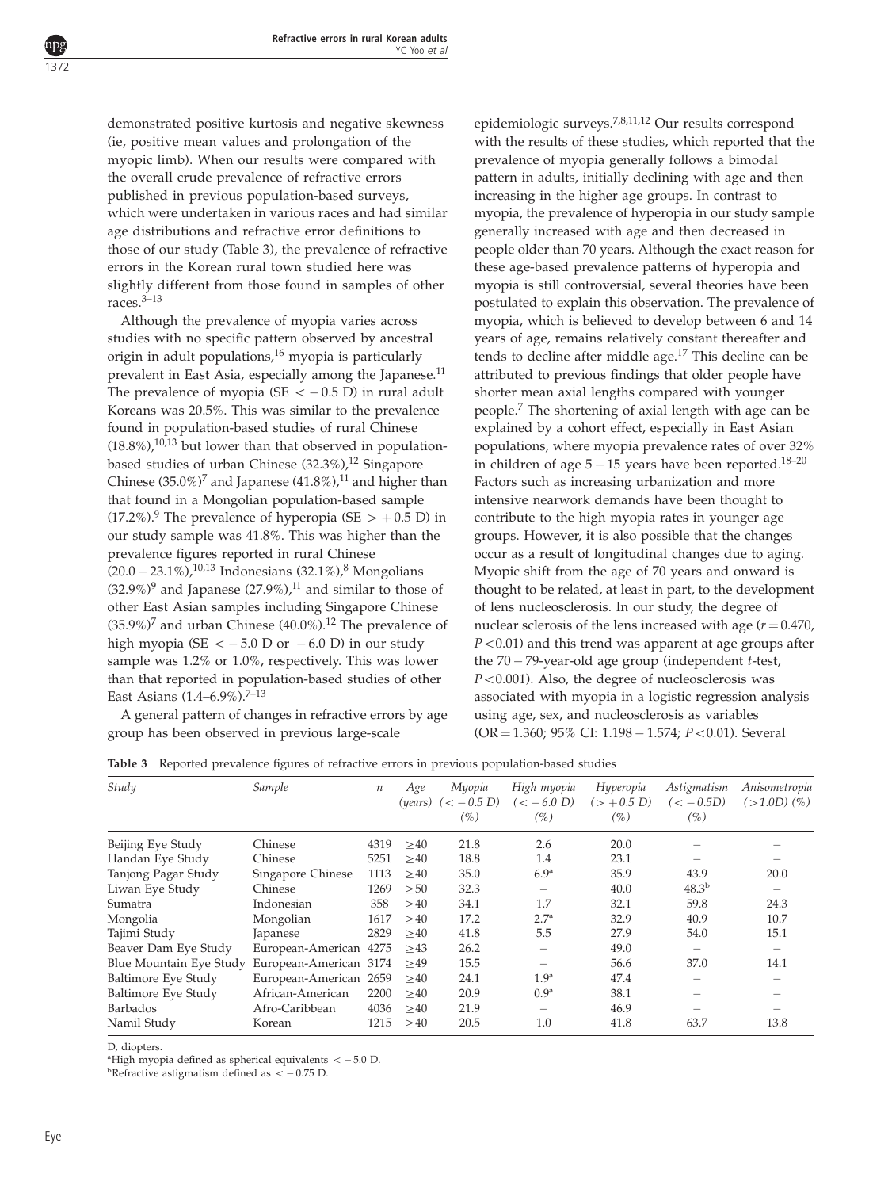demonstrated positive kurtosis and negative skewness (ie, positive mean values and prolongation of the myopic limb). When our results were compared with the overall crude prevalence of refractive errors published in previous population-based surveys, which were undertaken in various races and had similar age distributions and refractive error definitions to those of our study (Table 3), the prevalence of refractive errors in the Korean rural town studied here was slightly different from those found in samples of other races.[3–13](#page-6-0)

Although the prevalence of myopia varies across studies with no specific pattern observed by ancestral origin in adult populations, $16$  myopia is particularly prevalent in East Asia, especially among the Japanese.<sup>11</sup> The prevalence of myopia (SE  $<-0.5$  D) in rural adult Koreans was 20.5%. This was similar to the prevalence found in population-based studies of rural Chinese  $(18.8\%)$ ,<sup>[10,13](#page-6-0)</sup> but lower than that observed in populationbased studies of urban Chinese  $(32.3\%)$ ,<sup>[12](#page-7-0)</sup> Singapore Chinese  $(35.0\%)^7$  $(35.0\%)^7$  and Japanese  $(41.8\%)$ ,<sup>[11](#page-6-0)</sup> and higher than that found in a Mongolian population-based sample  $(17.2\%)$ .<sup>[9](#page-6-0)</sup> The prevalence of hyperopia (SE  $> +0.5$  D) in our study sample was 41.8%. This was higher than the prevalence figures reported in rural Chinese  $(20.0 - 23.1\%)$ ,<sup>[10,13](#page-6-0)</sup> Indonesians  $(32.1\%)$ ,<sup>[8](#page-6-0)</sup> Mongolians  $(32.9\%)^9$  $(32.9\%)^9$  $(32.9\%)^9$  and Japanese  $(27.9\%)$ ,<sup>[11](#page-6-0)</sup> and similar to those of other East Asian samples including Singapore Chinese  $(35.9\%)^7$  $(35.9\%)^7$  and urban Chinese  $(40.0\%)$ .<sup>[12](#page-7-0)</sup> The prevalence of high myopia (SE  $<-5.0$  D or  $-6.0$  D) in our study sample was 1.2% or 1.0%, respectively. This was lower than that reported in population-based studies of other East Asians (1.4–6.9%).<sup>7–13</sup>

A general pattern of changes in refractive errors by age group has been observed in previous large-scale

epidemiologic surveys.[7,8,11,12](#page-6-0) Our results correspond with the results of these studies, which reported that the prevalence of myopia generally follows a bimodal pattern in adults, initially declining with age and then increasing in the higher age groups. In contrast to myopia, the prevalence of hyperopia in our study sample generally increased with age and then decreased in people older than 70 years. Although the exact reason for these age-based prevalence patterns of hyperopia and myopia is still controversial, several theories have been postulated to explain this observation. The prevalence of myopia, which is believed to develop between 6 and 14 years of age, remains relatively constant thereafter and tends to decline after middle age.<sup>[17](#page-7-0)</sup> This decline can be attributed to previous findings that older people have shorter mean axial lengths compared with younger people.[7](#page-6-0) The shortening of axial length with age can be explained by a cohort effect, especially in East Asian populations, where myopia prevalence rates of over 32% in children of age  $5-15$  years have been reported.<sup>[18–20](#page-7-0)</sup> Factors such as increasing urbanization and more intensive nearwork demands have been thought to contribute to the high myopia rates in younger age groups. However, it is also possible that the changes occur as a result of longitudinal changes due to aging. Myopic shift from the age of 70 years and onward is thought to be related, at least in part, to the development of lens nucleosclerosis. In our study, the degree of nuclear sclerosis of the lens increased with age  $(r = 0.470)$ ,  $P < 0.01$ ) and this trend was apparent at age groups after the 70 – 79-year-old age group (independent t-test,  $P < 0.001$ ). Also, the degree of nucleosclerosis was associated with myopia in a logistic regression analysis using age, sex, and nucleosclerosis as variables  $(OR = 1.360; 95\% CI: 1.198 - 1.574; P < 0.01)$ . Several

|  |  |  |  |  |  |  | Table 3 Reported prevalence figures of refractive errors in previous population-based studies |  |
|--|--|--|--|--|--|--|-----------------------------------------------------------------------------------------------|--|
|--|--|--|--|--|--|--|-----------------------------------------------------------------------------------------------|--|

| Study                   | Sample                 | $\boldsymbol{n}$ | Age<br>(years) | Myopia<br>$(< -0.5 D)$<br>(%) | High myopia<br>$(< -6.0 D)$<br>(%) | Hyperopia<br>$(> +0.5 D)$<br>(%) | Astigmatism<br>$(< -0.5D)$<br>(%) | Anisometropia<br>$(>1.0D)$ $(\% )$ |
|-------------------------|------------------------|------------------|----------------|-------------------------------|------------------------------------|----------------------------------|-----------------------------------|------------------------------------|
| Beijing Eye Study       | Chinese                | 4319             | >40            | 21.8                          | 2.6                                | 20.0                             |                                   |                                    |
| Handan Eye Study        | Chinese                | 5251             | >40            | 18.8                          | 1.4                                | 23.1                             |                                   |                                    |
| Tanjong Pagar Study     | Singapore Chinese      | 1113             | >40            | 35.0                          | 6.9 <sup>a</sup>                   | 35.9                             | 43.9                              | 20.0                               |
| Liwan Eye Study         | Chinese                | 1269             | $\geq 50$      | 32.3                          | $\overline{\phantom{0}}$           | 40.0                             | $48.3^{b}$                        |                                    |
| Sumatra                 | Indonesian             | 358              | $\geq 40$      | 34.1                          | 1.7                                | 32.1                             | 59.8                              | 24.3                               |
| Mongolia                | Mongolian              | 1617             | >40            | 17.2                          | 2.7 <sup>a</sup>                   | 32.9                             | 40.9                              | 10.7                               |
| Tajimi Study            | Japanese               | 2829             | >40            | 41.8                          | 5.5                                | 27.9                             | 54.0                              | 15.1                               |
| Beaver Dam Eye Study    | European-American 4275 |                  | >43            | 26.2                          | –                                  | 49.0                             | $\overline{\phantom{m}}$          |                                    |
| Blue Mountain Eye Study | European-American 3174 |                  | >49            | 15.5                          | -                                  | 56.6                             | 37.0                              | 14.1                               |
| Baltimore Eye Study     | European-American      | 2659             | $\geq 40$      | 24.1                          | 1.9 <sup>a</sup>                   | 47.4                             |                                   |                                    |
| Baltimore Eye Study     | African-American       | 2200             | >40            | 20.9                          | 0.9 <sup>a</sup>                   | 38.1                             |                                   |                                    |
| <b>Barbados</b>         | Afro-Caribbean         | 4036             | $\geq 40$      | 21.9                          | –                                  | 46.9                             |                                   |                                    |
| Namil Study             | Korean                 | 1215             | $\geq 40$      | 20.5                          | 1.0                                | 41.8                             | 63.7                              | 13.8                               |

D, diopters.

<sup>a</sup>High myopia defined as spherical equivalents  $<-5.0$  D.

<sup>b</sup>Refractive astigmatism defined as  $<-0.75$  D.

<span id="page-4-0"></span>1372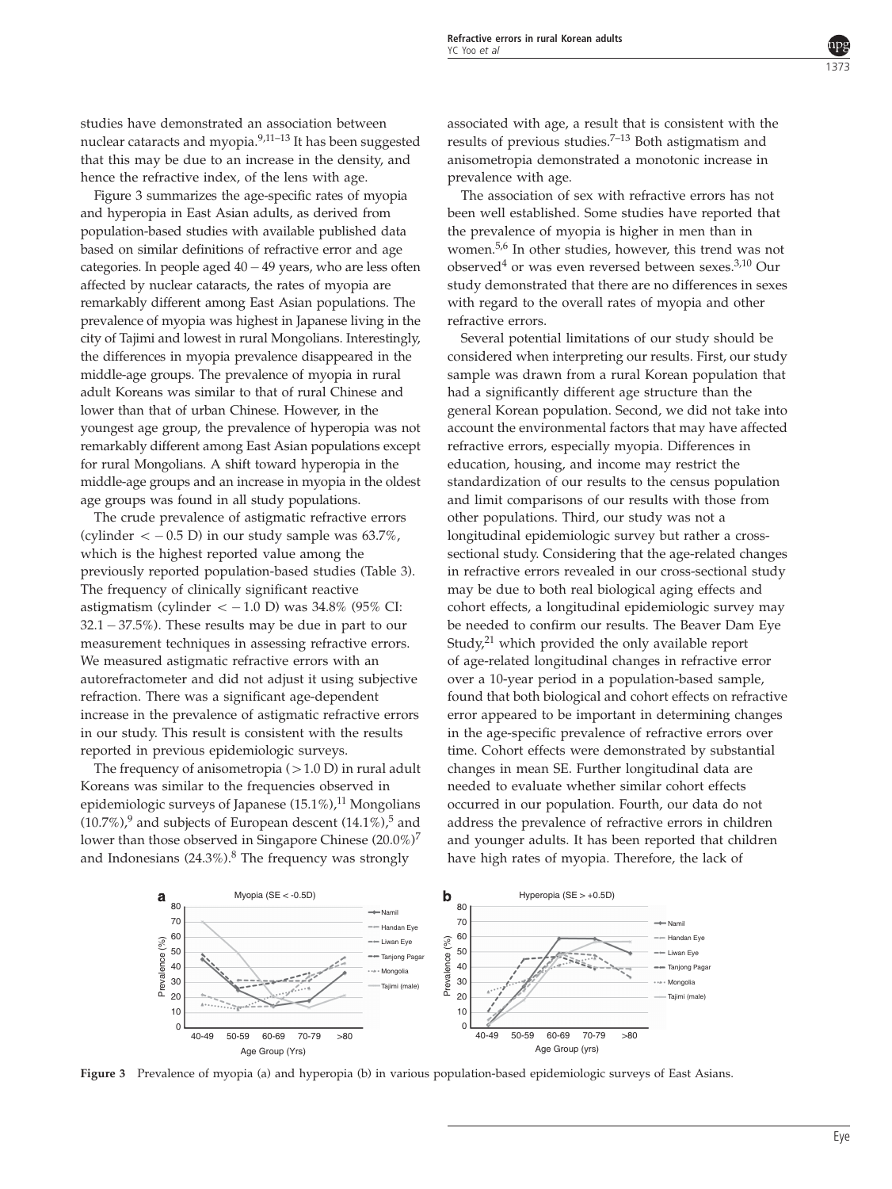studies have demonstrated an association between nuclear cataracts and myopia.[9,11–13](#page-6-0) It has been suggested that this may be due to an increase in the density, and hence the refractive index, of the lens with age.

Figure 3 summarizes the age-specific rates of myopia and hyperopia in East Asian adults, as derived from population-based studies with available published data based on similar definitions of refractive error and age categories. In people aged 40- 49 years, who are less often affected by nuclear cataracts, the rates of myopia are remarkably different among East Asian populations. The prevalence of myopia was highest in Japanese living in the city of Tajimi and lowest in rural Mongolians. Interestingly, the differences in myopia prevalence disappeared in the middle-age groups. The prevalence of myopia in rural adult Koreans was similar to that of rural Chinese and lower than that of urban Chinese. However, in the youngest age group, the prevalence of hyperopia was not remarkably different among East Asian populations except for rural Mongolians. A shift toward hyperopia in the middle-age groups and an increase in myopia in the oldest age groups was found in all study populations.

The crude prevalence of astigmatic refractive errors (cylinder  $<-0.5$  D) in our study sample was 63.7%, which is the highest reported value among the previously reported population-based studies ([Table 3](#page-4-0)). The frequency of clinically significant reactive astigmatism (cylinder < – 1.0 D) was 34.8% (95% CI: 32.1 - 37.5%). These results may be due in part to our measurement techniques in assessing refractive errors. We measured astigmatic refractive errors with an autorefractometer and did not adjust it using subjective refraction. There was a significant age-dependent increase in the prevalence of astigmatic refractive errors in our study. This result is consistent with the results reported in previous epidemiologic surveys.

The frequency of anisometropia  $(>1.0$  D) in rural adult Koreans was similar to the frequencies observed in epidemiologic surveys of Japanese  $(15.1\%)$ ,<sup>[11](#page-6-0)</sup> Mongolians  $(10.7\%)$ , and subjects of European descent  $(14.1\%)$ , and lower than those observed in Singapore Chinese  $(20.0\%)^7$  $(20.0\%)^7$ and Indonesians  $(24.3\%)$ .<sup>[8](#page-6-0)</sup> The frequency was strongly

associated with age, a result that is consistent with the results of previous studies. $7-13$  Both astigmatism and anisometropia demonstrated a monotonic increase in prevalence with age.

The association of sex with refractive errors has not been well established. Some studies have reported that the prevalence of myopia is higher in men than in women.[5,6](#page-6-0) In other studies, however, this trend was not observed<sup>[4](#page-6-0)</sup> or was even reversed between sexes.<sup>3,10</sup> Our study demonstrated that there are no differences in sexes with regard to the overall rates of myopia and other refractive errors.

Several potential limitations of our study should be considered when interpreting our results. First, our study sample was drawn from a rural Korean population that had a significantly different age structure than the general Korean population. Second, we did not take into account the environmental factors that may have affected refractive errors, especially myopia. Differences in education, housing, and income may restrict the standardization of our results to the census population and limit comparisons of our results with those from other populations. Third, our study was not a longitudinal epidemiologic survey but rather a crosssectional study. Considering that the age-related changes in refractive errors revealed in our cross-sectional study may be due to both real biological aging effects and cohort effects, a longitudinal epidemiologic survey may be needed to confirm our results. The Beaver Dam Eye Study,<sup>[21](#page-7-0)</sup> which provided the only available report of age-related longitudinal changes in refractive error over a 10-year period in a population-based sample, found that both biological and cohort effects on refractive error appeared to be important in determining changes in the age-specific prevalence of refractive errors over time. Cohort effects were demonstrated by substantial changes in mean SE. Further longitudinal data are needed to evaluate whether similar cohort effects occurred in our population. Fourth, our data do not address the prevalence of refractive errors in children and younger adults. It has been reported that children have high rates of myopia. Therefore, the lack of



Figure 3 Prevalence of myopia (a) and hyperopia (b) in various population-based epidemiologic surveys of East Asians.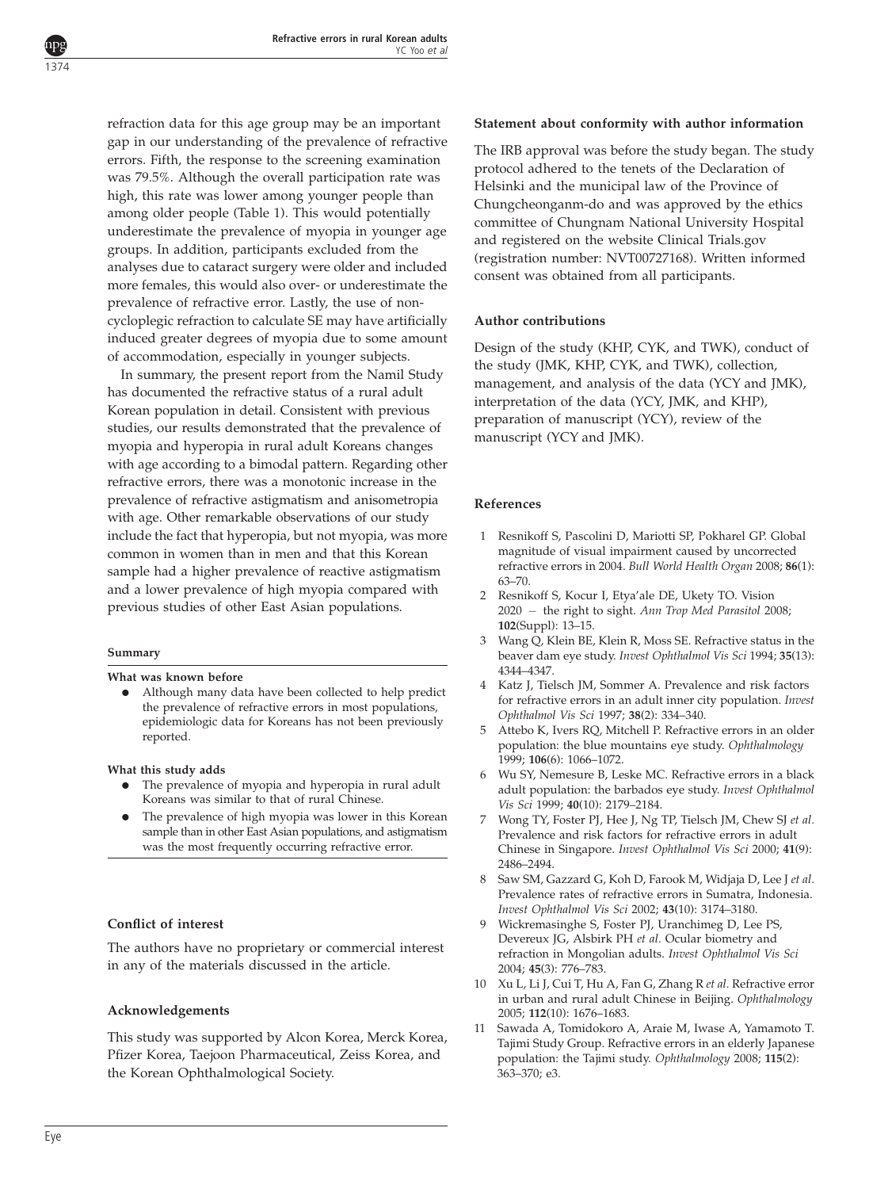refraction data for this age group may be an important gap in our understanding of the prevalence of refractive errors. Fifth, the response to the screening examination was 79.5%. Although the overall participation rate was high, this rate was lower among younger people than among older people ([Table 1](#page-2-0)). This would potentially underestimate the prevalence of myopia in younger age groups. In addition, participants excluded from the analyses due to cataract surgery were older and included more females, this would also over- or underestimate the prevalence of refractive error. Lastly, the use of noncycloplegic refraction to calculate SE may have artificially induced greater degrees of myopia due to some amount of accommodation, especially in younger subjects.

In summary, the present report from the Namil Study has documented the refractive status of a rural adult Korean population in detail. Consistent with previous studies, our results demonstrated that the prevalence of myopia and hyperopia in rural adult Koreans changes with age according to a bimodal pattern. Regarding other refractive errors, there was a monotonic increase in the prevalence of refractive astigmatism and anisometropia with age. Other remarkable observations of our study include the fact that hyperopia, but not myopia, was more common in women than in men and that this Korean sample had a higher prevalence of reactive astigmatism and a lower prevalence of high myopia compared with previous studies of other East Asian populations.

#### Summary

<span id="page-6-0"></span>1374

#### What was known before

• Although many data have been collected to help predict the prevalence of refractive errors in most populations, epidemiologic data for Koreans has not been previously reported.

What this study adds

- $\bullet$  The prevalence of myopia and hyperopia in rural adult Koreans was similar to that of rural Chinese.
- The prevalence of high myopia was lower in this Korean sample than in other East Asian populations, and astigmatism was the most frequently occurring refractive error.

## Conflict of interest

The authors have no proprietary or commercial interest in any of the materials discussed in the article.

## Acknowledgements

This study was supported by Alcon Korea, Merck Korea, Pfizer Korea, Taejoon Pharmaceutical, Zeiss Korea, and the Korean Ophthalmological Society.

#### Statement about conformity with author information

The IRB approval was before the study began. The study protocol adhered to the tenets of the Declaration of Helsinki and the municipal law of the Province of Chungcheonganm-do and was approved by the ethics committee of Chungnam National University Hospital and registered on the website Clinical Trials.gov (registration number: NVT00727168). Written informed consent was obtained from all participants.

#### Author contributions

Design of the study (KHP, CYK, and TWK), conduct of the study (JMK, KHP, CYK, and TWK), collection, management, and analysis of the data (YCY and JMK), interpretation of the data (YCY, JMK, and KHP), preparation of manuscript (YCY), review of the manuscript (YCY and JMK).

#### References

- 1 Resnikoff S, Pascolini D, Mariotti SP, Pokharel GP. Global magnitude of visual impairment caused by uncorrected refractive errors in 2004. Bull World Health Organ 2008; 86(1): 63–70.
- 2 Resnikoff S, Kocur I, Etya'ale DE, Ukety TO. Vision 2020 - the right to sight. Ann Trop Med Parasitol 2008; 102(Suppl): 13–15.
- 3 Wang Q, Klein BE, Klein R, Moss SE. Refractive status in the beaver dam eye study. Invest Ophthalmol Vis Sci 1994; 35(13): 4344–4347.
- 4 Katz J, Tielsch JM, Sommer A. Prevalence and risk factors for refractive errors in an adult inner city population. Invest Ophthalmol Vis Sci 1997; 38(2): 334–340.
- 5 Attebo K, Ivers RQ, Mitchell P. Refractive errors in an older population: the blue mountains eye study. Ophthalmology 1999; 106(6): 1066–1072.
- 6 Wu SY, Nemesure B, Leske MC. Refractive errors in a black adult population: the barbados eye study. Invest Ophthalmol Vis Sci 1999; 40(10): 2179–2184.
- 7 Wong TY, Foster PJ, Hee J, Ng TP, Tielsch JM, Chew SJ et al. Prevalence and risk factors for refractive errors in adult Chinese in Singapore. Invest Ophthalmol Vis Sci 2000; 41(9): 2486–2494.
- Saw SM, Gazzard G, Koh D, Farook M, Widjaja D, Lee J et al. Prevalence rates of refractive errors in Sumatra, Indonesia. Invest Ophthalmol Vis Sci 2002; 43(10): 3174–3180.
- 9 Wickremasinghe S, Foster PJ, Uranchimeg D, Lee PS, Devereux JG, Alsbirk PH et al. Ocular biometry and refraction in Mongolian adults. Invest Ophthalmol Vis Sci 2004; 45(3): 776–783.
- 10 Xu L, Li J, Cui T, Hu A, Fan G, Zhang R et al. Refractive error in urban and rural adult Chinese in Beijing. Ophthalmology 2005; 112(10): 1676–1683.
- 11 Sawada A, Tomidokoro A, Araie M, Iwase A, Yamamoto T. Tajimi Study Group. Refractive errors in an elderly Japanese population: the Tajimi study. Ophthalmology 2008; 115(2): 363–370; e3.